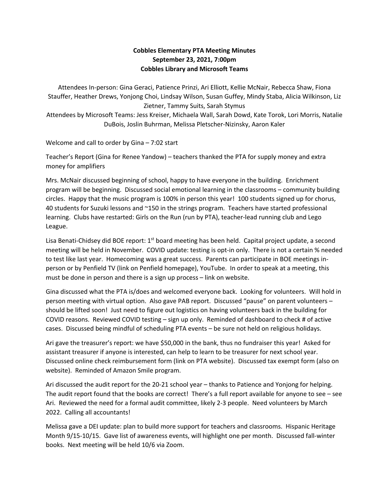## **Cobbles Elementary PTA Meeting Minutes September 23, 2021, 7:00pm Cobbles Library and Microsoft Teams**

Attendees In-person: Gina Geraci, Patience Prinzi, Ari Elliott, Kellie McNair, Rebecca Shaw, Fiona Stauffer, Heather Drews, Yonjong Choi, Lindsay Wilson, Susan Guffey, Mindy Staba, Alicia Wilkinson, Liz Zietner, Tammy Suits, Sarah Stymus Attendees by Microsoft Teams: Jess Kreiser, Michaela Wall, Sarah Dowd, Kate Torok, Lori Morris, Natalie

DuBois, Joslin Buhrman, Melissa Pletscher-Nizinsky, Aaron Kaler

Welcome and call to order by Gina – 7:02 start

Teacher's Report (Gina for Renee Yandow) – teachers thanked the PTA for supply money and extra money for amplifiers

Mrs. McNair discussed beginning of school, happy to have everyone in the building. Enrichment program will be beginning. Discussed social emotional learning in the classrooms – community building circles. Happy that the music program is 100% in person this year! 100 students signed up for chorus, 40 students for Suzuki lessons and ~150 in the strings program. Teachers have started professional learning. Clubs have restarted: Girls on the Run (run by PTA), teacher-lead running club and Lego League.

Lisa Benati-Chidsey did BOE report: 1<sup>st</sup> board meeting has been held. Capital project update, a second meeting will be held in November. COVID update: testing is opt-in only. There is not a certain % needed to test like last year. Homecoming was a great success. Parents can participate in BOE meetings inperson or by Penfield TV (link on Penfield homepage), YouTube. In order to speak at a meeting, this must be done in person and there is a sign up process – link on website.

Gina discussed what the PTA is/does and welcomed everyone back. Looking for volunteers. Will hold in person meeting with virtual option. Also gave PAB report. Discussed "pause" on parent volunteers – should be lifted soon! Just need to figure out logistics on having volunteers back in the building for COVID reasons. Reviewed COVID testing – sign up only. Reminded of dashboard to check # of active cases. Discussed being mindful of scheduling PTA events – be sure not held on religious holidays.

Ari gave the treasurer's report: we have \$50,000 in the bank, thus no fundraiser this year! Asked for assistant treasurer if anyone is interested, can help to learn to be treasurer for next school year. Discussed online check reimbursement form (link on PTA website). Discussed tax exempt form (also on website). Reminded of Amazon Smile program.

Ari discussed the audit report for the 20-21 school year – thanks to Patience and Yonjong for helping. The audit report found that the books are correct! There's a full report available for anyone to see – see Ari. Reviewed the need for a formal audit committee, likely 2-3 people. Need volunteers by March 2022. Calling all accountants!

Melissa gave a DEI update: plan to build more support for teachers and classrooms. Hispanic Heritage Month 9/15-10/15. Gave list of awareness events, will highlight one per month. Discussed fall-winter books. Next meeting will be held 10/6 via Zoom.